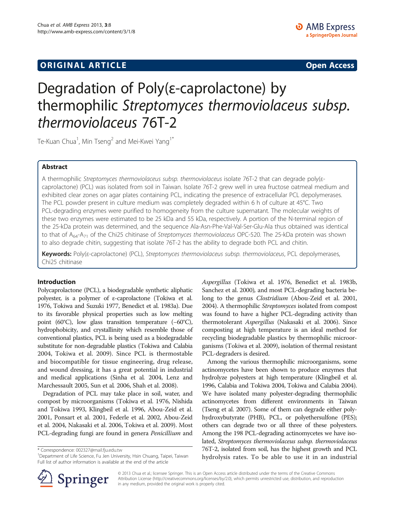## **ORIGINAL ARTICLE CONSERVANCE IN A LOCAL CONSERVANCE IN A LOCAL CONSERVANCE IN A LOCAL CONSERVANCE IN A LOCAL CONSERVANCE IN A LOCAL CONSERVANCE IN A LOCAL CONSERVANCE IN A LOCAL CONSERVANCE IN A LOCAL CONSERVANCE IN A L**

# Degradation of Poly(ε-caprolactone) by thermophilic Streptomyces thermoviolaceus subsp. thermoviolaceus 76T-2

Te-Kuan Chua<sup>1</sup>, Min Tseng<sup>2</sup> and Mei-Kwei Yang<sup>1\*</sup>

## Abstract

A thermophilic Streptomyces thermoviolaceus subsp. thermoviolaceus isolate 76T-2 that can degrade poly(εcaprolactone) (PCL) was isolated from soil in Taiwan. Isolate 76T-2 grew well in urea fructose oatmeal medium and exhibited clear zones on agar plates containing PCL, indicating the presence of extracellular PCL depolymerases. The PCL powder present in culture medium was completely degraded within 6 h of culture at 45°C. Two PCL-degrading enzymes were purified to homogeneity from the culture supernatant. The molecular weights of these two enzymes were estimated to be 25 kDa and 55 kDa, respectively. A portion of the N-terminal region of the 25-kDa protein was determined, and the sequence Ala-Asn-Phe-Val-Val-Ser-Glu-Ala thus obtained was identical to that of  $A_{64}$ - $A_{71}$  of the Chi25 chitinase of Streptomyces thermoviolaceus OPC-520. The 25-kDa protein was shown to also degrade chitin, suggesting that isolate 76T-2 has the ability to degrade both PCL and chitin.

Keywords: Poly(ε-caprolactone) (PCL), Streptomyces thermoviolaceus subsp. thermoviolaceus, PCL depolymerases, Chi25 chitinase

#### Introduction

Polycaprolactone (PCL), a biodegradable synthetic aliphatic polyester, is a polymer of ε-caprolactone (Tokiwa et al. [1976,](#page-6-0) Tokiwa and Suzuki [1977,](#page-5-0) Benedict et al. [1983a\)](#page-5-0). Due to its favorable physical properties such as low melting point (60°C), low glass transition temperature (−60°C), hydrophobicity, and crystallinity which resemble those of conventional plastics, PCL is being used as a biodegradable substitute for non-degradable plastics (Tokiwa and Calabia [2004,](#page-5-0) Tokiwa et al. [2009](#page-6-0)). Since PCL is thermostable and biocompatible for tissue engineering, drug release, and wound dressing, it has a great potential in industrial and medical applications (Sinha et al. [2004](#page-5-0), Lenz and Marchessault [2005,](#page-5-0) Sun et al. [2006](#page-5-0), Shah et al. [2008](#page-5-0)).

Degradation of PCL may take place in soil, water, and compost by microorganisms (Tokiwa et al. [1976](#page-6-0), Nishida and Tokiwa [1993](#page-5-0), Klingbeil et al. [1996](#page-5-0), Abou-Zeid et al. [2001,](#page-5-0) Ponsart et al. [2001](#page-5-0), Federle et al. [2002](#page-5-0), Abou-Zeid et al. [2004,](#page-5-0) Nakasaki et al. [2006](#page-5-0), Tokiwa et al. [2009\)](#page-6-0). Most PCL-degrading fungi are found in genera Penicillium and

\* Correspondence: [002327@mail.fju.edu.tw](mailto:002327@mail.fju.edu.tw) <sup>1</sup>



Among the various thermophilic microorganisms, some actinomycetes have been shown to produce enzymes that hydrolyze polyesters at high temperature (Klingbeil et al. [1996,](#page-5-0) Calabia and Tokiwa [2004,](#page-5-0) Tokiwa and Calabia [2004](#page-5-0)). We have isolated many polyester-degrading thermophilic actinomycetes from different environments in Taiwan (Tseng et al. [2007\)](#page-6-0). Some of them can degrade either polyhydroxybutyrate (PHB), PCL, or polyethersulfone (PES); others can degrade two or all three of these polyesters. Among the 198 PCL-degrading actinomycetes we have isolated, Streptomyces thermoviolaceus subsp. thermoviolaceus 76T-2, isolated from soil, has the highest growth and PCL hydrolysis rates. To be able to use it in an industrial



© 2013 Chua et al.; licensee Springer. This is an Open Access article distributed under the terms of the Creative Commons Attribution License [\(http://creativecommons.org/licenses/by/2.0\)](http://creativecommons.org/licenses/by/2.0), which permits unrestricted use, distribution, and reproduction in any medium, provided the original work is properly cited.

<sup>&</sup>lt;sup>1</sup>Department of Life Science, Fu Jen University, Hsin Chuang, Taipei, Taiwan Full list of author information is available at the end of the article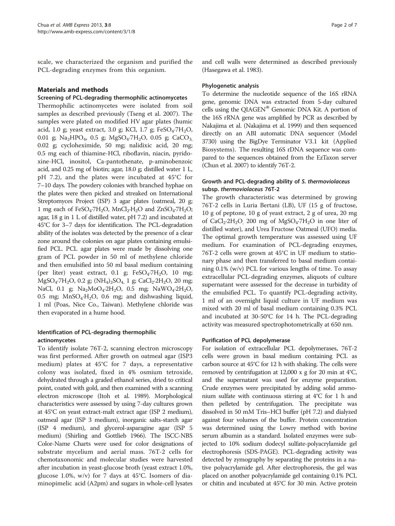scale, we characterized the organism and purified the PCL-degrading enzymes from this organism.

## Materials and methods

### Screening of PCL-degrading thermophilic actinomycetes

Thermophilic actinomycetes were isolated from soil samples as described previously (Tseng et al. [2007\)](#page-6-0). The samples were plated on modified HV agar plates (humic acid, 1.0 g; yeast extract, 3.0 g; KCl, 1.7 g;  $FeSO<sub>4</sub>·7H<sub>2</sub>O$ , 0.01 g; Na<sub>2</sub>HPO<sub>4</sub>, 0.5 g; MgSO<sub>4</sub>·7H<sub>2</sub>O, 0.05 g; CaCO<sub>3</sub>, 0.02 g; cycloheximide, 50 mg; nalidixic acid, 20 mg; 0.5 mg each of thiamine-HCl, riboflavin, niacin, pyridoxine-HCl, inositol, Ca-pantothenate, p-aminobenzoic acid, and 0.25 mg of biotin; agar, 18.0 g; distilled water 1 L, pH 7.2), and the plates were incubated at 45°C for 7–10 days. The powdery colonies with branched hyphae on the plates were then picked and streaked on International Streptomyces Project (ISP) 3 agar plates (oatmeal, 20 g; 1 mg each of  $FeSO_4$ :7H<sub>2</sub>O, MnCl<sub>2</sub>:H<sub>2</sub>O and ZnSO<sub>4</sub>:7H<sub>2</sub>O; agar, 18 g in 1 L of distilled water, pH 7.2) and incubated at 45°C for 3–7 days for identification. The PCL-degradation ability of the isolates was detected by the presence of a clear zone around the colonies on agar plates containing emulsified PCL. PCL agar plates were made by dissolving one gram of PCL powder in 50 ml of methylene chloride and then emulsified into 50 ml basal medium containing (per liter) yeast extract, 0.1 g;  $FeSO<sub>4</sub>·7H<sub>2</sub>O$ , 10 mg;  $MgSO_4$ ·7H<sub>2</sub>O, 0.2 g;  $(NH_4)_2SO_4$ , 1 g; CaCl<sub>2</sub>·2H<sub>2</sub>O, 20 mg; NaCl, 0.1 g;  $Na_2MoO_4.2H_2O$ , 0.5 mg;  $NaWO_4.2H_2O$ , 0.5 mg;  $MnSO_4·H_2O$ , 0.6 mg; and dishwashing liquid, 1 ml (Poas, Nice Co., Taiwan). Methylene chloride was then evaporated in a hume hood.

## Identification of PCL-degrading thermophilic actinomycetes

To identify isolate 76T-2, scanning electron microscopy was first performed. After growth on oatmeal agar (ISP3 medium) plates at 45°C for 7 days, a representative colony was isolated, fixed in 4% osmium tetroxide, dehydrated through a graded ethanol series, dried to critical point, coated with gold, and then examined with a scanning electron microscope (Itoh et al. [1989](#page-5-0)). Morphological characteristics were assessed by using 7-day cultures grown at 45°C on yeast extract-malt extract agar (ISP 2 medium), oatmeal agar (ISP 3 medium), inorganic salts-starch agar (ISP 4 medium), and glycerol-asparagine agar (ISP 5 medium) (Shirling and Gottlieb [1966\)](#page-5-0). The ISCC-NBS Color-Name Charts were used for color designations of substrate mycelium and aerial mass. 76T-2 cells for chemotaxonomic and molecular studies were harvested after incubation in yeast-glucose broth (yeast extract 1.0%, glucose 1.0%,  $w/v$ ) for 7 days at 45°C. Isomers of diaminopimelic acid (A2pm) and sugars in whole-cell lysates and cell walls were determined as described previously (Hasegawa et al. [1983](#page-5-0)).

### Phylogenetic analysis

To determine the nucleotide sequence of the 16S rRNA gene, genomic DNA was extracted from 5-day cultured cells using the QIAGEN® Genomic DNA Kit. A portion of the 16S rRNA gene was amplified by PCR as described by Nakajima et al. (Nakajima et al. [1999\)](#page-5-0) and then sequenced directly on an ABI automatic DNA sequencer (Model 3730) using the BigDye Terminator V3.1 kit (Applied Biosystems). The resulting 16S rDNA sequence was compared to the sequences obtained from the EzTaxon server (Chun et al. [2007](#page-5-0)) to identify 76T-2.

#### Growth and PCL-degrading ability of S. thermoviolaceus subsp. thermoviolaceus 76T-2

The growth characteristic was determined by growing 76T-2 cells in Luria Bertani (LB), UF (15 g of fructose, 10 g of peptone, 10 g of yeast extract, 2 g of urea, 20 mg of  $CaCl<sub>2</sub>·2H<sub>2</sub>O$ , 200 mg of  $MgSO<sub>4</sub>·7H<sub>2</sub>O$  in one liter of distilled water), and Urea Fructose Oatmeal (UFO) media. The optimal growth temperature was assessed using UF medium. For examination of PCL-degrading enzymes, 76T-2 cells were grown at 45°C in UF medium to stationary phase and then transferred to basal medium containing 0.1% (w/v) PCL for various lengths of time. To assay extracellular PCL-degrading enzymes, aliquots of culture supernatant were assessed for the decrease in turbidity of the emulsified PCL. To quantify PCL-degrading activity, 1 ml of an overnight liquid culture in UF medium was mixed with 20 ml of basal medium containing 0.3% PCL and incubated at 30-50°C for 14 h. The PCL-degrading activity was measured spectrophotometrically at 650 nm.

### Purification of PCL depolymerase

For isolation of extracellular PCL depolymerases, 76T-2 cells were grown in basal medium containing PCL as carbon source at 45°C for 12 h with shaking. The cells were removed by centrifugation at 12,000 x g for 20 min at 4°C, and the supernatant was used for enzyme preparation. Crude enzymes were precipitated by adding solid ammonium sulfate with continuous stirring at 4°C for 1 h and then pelleted by centrifugation. The precipitate was dissolved in 50 mM Tris–HCl buffer (pH 7.2) and dialyzed against four volumes of the buffer. Protein concentration was determined using the Lowry method with bovine serum albumin as a standard. Isolated enzymes were subjected to 10% sodium dodecyl sulfate-polyacrylamide gel electrophoresis (SDS-PAGE). PCL-degrading activity was detected by zymography by separating the proteins in a native polyacrylamide gel. After electrophoresis, the gel was placed on another polyacrylamide gel containing 0.1% PCL or chitin and incubated at 45°C for 30 min. Active protein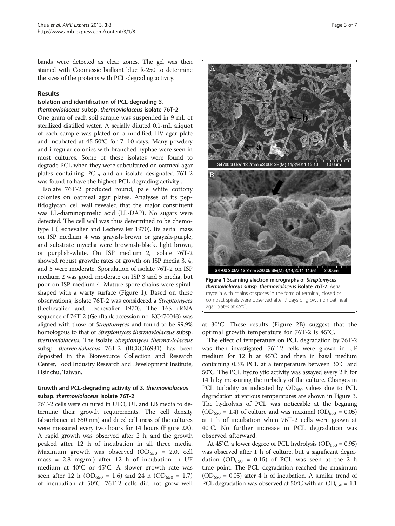bands were detected as clear zones. The gel was then stained with Coomassie brilliant blue R-250 to determine the sizes of the proteins with PCL-degrading activity.

#### Results

#### Isolation and identification of PCL-degrading S. thermoviolaceus subsp. thermoviolaceus isolate 76T-2

One gram of each soil sample was suspended in 9 mL of sterilized distilled water. A serially diluted 0.1-mL aliquot of each sample was plated on a modified HV agar plate and incubated at 45-50°C for 7–10 days. Many powdery and irregular colonies with branched hyphae were seen in most cultures. Some of these isolates were found to degrade PCL when they were subcultured on oatmeal agar plates containing PCL, and an isolate designated 76T-2 was found to have the highest PCL-degrading activity .

Isolate 76T-2 produced round, pale white cottony colonies on oatmeal agar plates. Analyses of its peptidoglycan cell wall revealed that the major constituent was LL-diaminopimelic acid (LL-DAP). No sugars were detected. The cell wall was thus determined to be chemotype I (Lechevalier and Lechevalier [1970\)](#page-5-0). Its aerial mass on ISP medium 4 was grayish-brown or grayish-purple, and substrate mycelia were brownish-black, light brown, or purplish-white. On ISP medium 2, isolate 76T-2 showed robust growth; rates of growth on ISP media 3, 4, and 5 were moderate. Sporulation of isolate 76T-2 on ISP medium 2 was good, moderate on ISP 3 and 5 media, but poor on ISP medium 4. Mature spore chains were spiralshaped with a warty surface (Figure 1). Based on these observations, isolate 76T-2 was considered a Streptomyces (Lechevalier and Lechevalier [1970\)](#page-5-0). The 16S rRNA sequence of 76T-2 (GenBank accession no. KC470043) was aligned with those of Streptomyces and found to be 99.9% homologous to that of Streptomyces thermoviolaceus subsp. thermoviolaceus. The isolate Streptomyces thermoviolaceus subsp. thermoviolaceus 76T-2 (BCRC16931) has been deposited in the Bioresource Collection and Research Center, Food Industry Research and Development Institute, Hsinchu, Taiwan.

## Growth and PCL-degrading activity of S. thermoviolaceus subsp. thermoviolaceus isolate 76T-2

76T-2 cells were cultured in UFO, UF, and LB media to determine their growth requirements. The cell density (absorbance at 650 nm) and dried cell mass of the cultures were measured every two hours for 14 hours (Figure [2A](#page-3-0)). A rapid growth was observed after 2 h, and the growth peaked after 12 h of incubation in all three media. Maximum growth was observed  $(OD_{650} = 2.0,$  cell mass = 2.8 mg/ml) after 12 h of incubation in UF medium at 40°C or 45°C. A slower growth rate was seen after 12 h (OD<sub>650</sub> = 1.6) and 24 h (OD<sub>650</sub> = 1.7) of incubation at 50°C. 76T-2 cells did not grow well



at 30°C. These results (Figure [2](#page-3-0)B) suggest that the optimal growth temperature for 76T-2 is 45°C.

The effect of temperature on PCL degradation by 76T-2 was then investigated. 76T-2 cells were grown in UF medium for 12 h at 45°C and then in basal medium containing 0.3% PCL at a temperature between 30°C and 50°C. The PCL hydrolytic activity was assayed every 2 h for 14 h by measuring the turbidity of the culture. Changes in PCL turbidity as indicated by  $OD_{650}$  values due to PCL degradation at various temperatures are shown in Figure [3](#page-3-0). The hydrolysis of PCL was noticeable at the begining  $(OD_{650} = 1.4)$  of culture and was maximal  $(OD_{650} = 0.05)$ at 1 h of incubation when 76T-2 cells were grown at 40°C. No further increase in PCL degradation was observed afterward.

At 45°C, a lower degree of PCL hydrolysis ( $OD_{650} = 0.95$ ) was observed after 1 h of culture, but a significant degradation (OD<sub>650</sub> = 0.15) of PCL was seen at the 2 h time point. The PCL degradation reached the maximum  $(OD_{650} = 0.05)$  after 4 h of incubation. A similar trend of PCL degradation was observed at 50°C with an OD<sub>650</sub> = 1.1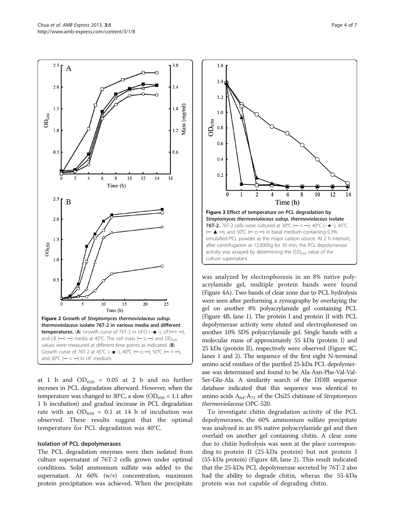<span id="page-3-0"></span>

at 1 h and  $OD_{650} = 0.05$  at 2 h and no further increses in PCL degradation afterward. However, when the temperature was changed to 30°C, a slow (OD<sub>650</sub> = 1.1 after 1 h incubation) and gradual increase in PCL degradation rate with an  $OD_{650} = 0.1$  at 14 h of incubation was observed. These results suggest that the optimal temperature for PCL degradation was 40°C.

#### Isolation of PCL depolymerases

The PCL degradation enzymes were then isolated from culture supernatant of 76T-2 cells grown under optimal conditions. Solid ammonium sulfate was added to the supernatant. At  $60\%$  (w/v) concentration, maximum protein precipitation was achieved. When the precipitate



was analyzed by electrophoresis in an 8% native polyacrylamide gel, multiple protein bands were found (Figure [4A](#page-4-0)). Two bands of clear zone due to PCL hydrolysis were seen after performing a zymography by overlaying the gel on another 8% polyacrylamide gel containing PCL (Figure [4](#page-4-0)B, lane 1). The protein I and protein II with PCL depolymerase activity were eluted and electrophoresed on another 10% SDS polyacrylamide gel. Single bands with a molecular mass of approximately 55 kDa (protein I) and 25 kDa (protein II), respectively were observed (Figure [4C](#page-4-0), lanes 1 and 2). The sequence of the first eight N-terminal amino acid residues of the purified 25-kDa PCL depolymerase was determined and found to be Ala-Asn-Phe-Val-Val-Ser-Glu-Ala. A similarity search of the DDJB sequence database indicated that this sequence was identical to amino acids  $A_{64}$ - $A_{71}$  of the Chi25 chitinase of Streptomyces thermoviolaceus OPC-520.

To investigate chitin degradation activity of the PCL depolymerases, the 60% ammonium sulfate precipitate was analyzed in an 8% native polyacrylamide gel and then overlaid on another gel containing chitin. A clear zone due to chitin hydrolysis was seen at the place corresponding to protein II (25-kDa protein) but not protein I (55-kDa protein) (Figure [4B](#page-4-0), lane 2). This result indicated that the 25-kDa PCL depolymerase secreted by 76T-2 also had the ability to degrade chitin, wheras the 55-kDa protein was not capable of degrading chitin.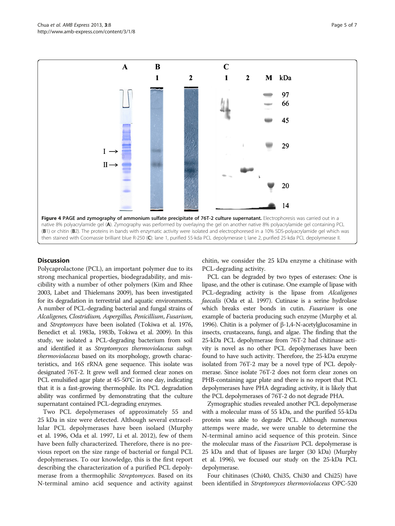<span id="page-4-0"></span>Chua et al. AMB Express 2013, 3:8 http://www.amb-express.com/content/3/1/8



#### **Discussion**

Polycaprolactone (PCL), an important polymer due to its strong mechanical properties, biodegradability, and miscibility with a number of other polymers (Kim and Rhee [2003,](#page-5-0) Labet and Thielemans [2009](#page-5-0)), has been investigated for its degradation in terrestrial and aquatic environments. A number of PCL-degrading bacterial and fungal strains of Alcaligenes, Clostridium, Aspergillus, Penicillium, Fusarium, and Streptomyces have been isolated (Tokiwa et al. [1976](#page-6-0), Benedict et al. [1983a](#page-5-0), [1983b](#page-5-0), Tokiwa et al. [2009\)](#page-6-0). In this study, we isolated a PCL-degrading bacterium from soil and identified it as Streptomyces thermoviolaceus subsp. thermoviolaceus based on its morphology, growth characteristics, and 16S rRNA gene sequence. This isolate was designated 76T-2. It grew well and formed clear zones on PCL emulsified agar plate at 45-50°C in one day, indicating that it is a fast-growing thermophile. Its PCL degradation ability was confirmed by demonstrating that the culture supernatant contained PCL-degrading enzymes.

Two PCL depolymerases of approximately 55 and 25 kDa in size were detected. Although several extracellular PCL depolymerases have been isolaed (Murphy et al. [1996](#page-5-0), Oda et al. [1997](#page-5-0), Li et al. [2012](#page-5-0)), few of them have been fully characterized. Therefore, there is no previous report on the size range of bacterial or fungal PCL depolymerases. To our knowledge, this is the first report describing the characterization of a purified PCL depolymerase from a thermophilic Streptomyces. Based on its N-terminal amino acid sequence and activity against chitin, we consider the 25 kDa enzyme a chitinase with PCL-degrading activity.

PCL can be degraded by two types of esterases: One is lipase, and the other is cutinase. One example of lipase with PCL-degrading activity is the lipase from *Alcaligenes* faecalis (Oda et al. [1997\)](#page-5-0). Cutinase is a serine hydrolase which breaks ester bonds in cutin. Fusarium is one example of bacteria producing such enzyme (Murphy et al. [1996\)](#page-5-0). Chitin is a polymer of β-1,4-N-acetylglucosamine in insects, crustaceans, fungi, and algae. The finding that the 25-kDa PCL depolymerase from 76T-2 had chitinase activity is novel as no other PCL depolymerases have been found to have such activity. Therefore, the 25-kDa enzyme isolated from 76T-2 may be a novel type of PCL depolymerase. Since isolate 76T-2 does not form clear zones on PHB-containing agar plate and there is no report that PCL depolymerases have PHA degrading activity, it is likely that the PCL depolymerases of 76T-2 do not degrade PHA.

Zymographic studies revealed another PCL depolymerase with a molecular mass of 55 kDa, and the purified 55-kDa protein was able to degrade PCL. Although numerous attemps were made, we were unable to determine the N-terminal amino acid sequence of this protein. Since the molecular mass of the Fusarium PCL depolymerase is 25 kDa and that of lipases are larger (30 kDa) (Murphy et al. [1996](#page-5-0)), we focused our study on the 25-kDa PCL depolymerase.

Four chitinases (Chi40, Chi35, Chi30 and Chi25) have been identified in Streptomyces thermoviolaceus OPC-520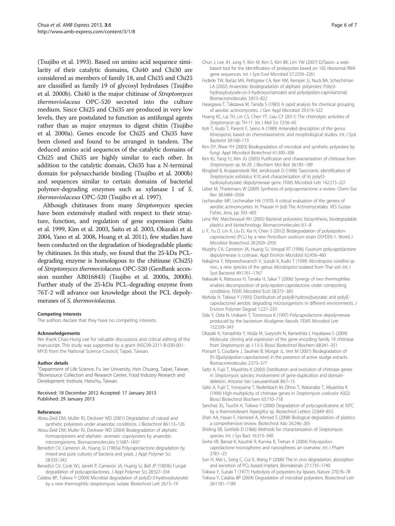<span id="page-5-0"></span>(Tsujibo et al. [1993](#page-6-0)). Based on amino acid sequence similarity of their catalytic domains, Chi40 and Chi30 are considered as members of family 18, and Chi35 and Chi25 are classified as family 19 of glycosyl hydrolases (Tsujibo et al. [2000b](#page-6-0)). Chi40 is the major chitinase of Streptomyces thermoviolaceus OPC-520 secreted into the culture medium. Since Chi25 and Chi35 are produced in very low levels, they are postulated to function as antifungal agents rather than as major enzymes to digest chitin (Tsujibo et al. [2000a](#page-6-0)). Genes encode for Chi25 and Chi35 have been cloned and found to be arranged in tandem. The deduced amino acid sequences of the catalytic domains of Chi25 and Chi35 are highly similar to each other. In addition to the catalytic domain, Chi35 has a N-terminal domain for polysaccharide binding (Tsujibo et al. [2000b](#page-6-0)) and sequences similar to certain domains of bacterial polymer-degrading enzymes such as xylanase I of S. thermoviolaceus OPC-520 (Tsujibo et al. [1997\)](#page-6-0).

Although chitinases from many Streptomyces species have been extensively studied with respect to their structure, function, and regulation of gene expression (Saito et al. 1999, Kim et al. 2003, Saito et al. 2003, Okazaki et al. 2004, Yano et al. [2008](#page-6-0), Hoang et al. 2011), few studies have been conducted on the degradation of biodegradable plastic by chitinases. In this study, we found that the 25-kDa PCLdegrading enzyme is homologous to the chitinase (Chi25) of Streptomyces thermoviolaceus OPC-520 (GenBank accession number AB016843) (Tsujibo et al. [2000a, 2000b](#page-6-0)). Further study of the 25-kDa PCL-degrading enzyme from 76T-2 will advance our knowledge about the PCL depolymerases of S. thermoviolaceus.

#### Competing interests

The authors declare that they have no competing interests.

#### Acknowledgements

We thank Chao-Hung Lee for valuable discussions and critical editing of the manuscript. This study was supported by a grant (NSC99-2311-B-030-001- MY3) from the National Science Council, Taipei, Taiwan.

#### Author details

<sup>1</sup>Department of Life Science, Fu Jen University, Hsin Chuang, Taipei, Taiwan. <sup>2</sup> Bioresource Collection and Research Center, Food Industry Research and Development Institute, Hsinchu, Taiwan.

#### Received: 18 December 2012 Accepted: 17 January 2013 Published: 29 January 2013

#### References

Abou-Zeid DM, Muller RJ, Deckwer WD (2001) Degradation of natural and synthetic polyesters under anaerobic conditions. J Biotechnol 86:113–126

Abou-Zeid DM, Muller RJ, Deckwer WD (2004) Biodegradation of aliphatic homopolyesters and aliphatic -aromatic copolyesters by anaerobic microorganisms. Biomacromolecules 5:1687–1697

- Benedict CV, Cameron JA, Huang SJ (1983a) Polycaprolactone degradation by mixed and pure cultures of bacteria and yeast. J Appl Polymer Sci 28:335–342
- Benedict CV, Cook WJ, Jarrett P, Cameron JA, Huang SJ, Bell JP (1983b) Fungal degradation of polycaprolactones. J Appl Polymer Sci 28:327–334
- Calabia BP, Tokiwa Y (2004) Microbial degradation of poly(D-3-hydroxybutyrate) by a new thermophilic streptomyces isolate. Biotechnol Lett 26:15–19
- Chun J, Lee JH, Jung Y, Kim M, Kim S, Kim BK, Lim YW (2007) EzTaxon: a webbased tool for the identification of prokaryotes based on 16S ribosomal RNA gene sequences. Int J Syst Evol Microbiol 57:2259–2261
- Federle TW, Barlaz MA, Pettigrew CA, Kerr KM, Kemper JJ, Nuck BA, Schechtman LA (2002) Anaerobic biodegradation of aliphatic polyesters: Poly(3 hydroxybutyrate-co-3-hydroxyoctanoate) and poly(epsilon-caprolactone). Biomacromolecules 3:813–822
- Hasegawa T, Takizawa M, Tanida S (1983) A rapid analysis for chemical grouping of aerobic actinomycetes. J Gen Appl Microbiol 29:319–322
- Hoang KC, Lai TH, Lin CS, Chen YT, Liau CY (2011) The chitinolytic activities of Streptomyces sp. TH-11. Int J Mol Sci 12:56–<sup>65</sup>
- Itoh T, Kudo T, Parenti F, Seino A (1989) Amended description of the genus Kineosporia, based on chemotaxonomic and morphological studies. Int J Syst Bacteriol 39:168–173
- Kim DY, Rhee YH (2003) Biodegradation of microbial and synthetic polyesters by fungi. Appl Microbiol Biotechnol 61:300–308
- Kim KJ, Yang YJ, Kim JG (2003) Purification and characterization of chitinase from Streptomyces sp. M-20. J Biochem Mol Biol 36:185–<sup>189</sup>
- Klingbeil B, Kroppenstedt RM, Jendrossek D (1996) Taxonomic identification of Streptomyces exfoliatus K10 and characterization of its poly(3- hydroxybutyrate) depolymerase gene. FEMS Microbiol Lett 142:215–221
- Labet M, Thielemans W (2009) Synthesis of polycaprolactone: a review. Chem Soc Rev 38:3484–3504
- Lechevalier MP, Lechevalier HA (1970) A critical evaluation of the genera of aerobic actinomcyetes. In: Prauser H (ed) The Actinomycetales. VES Gustav Fisher, Jena, pp 393–405
- Lenz RW, Marchessault RH (2005) Bacterial polyesters: biosynthesis, biodegradable plastics and biotechnology. Biomacromolecules 6:1–8
- Li F, Yu D, Lin X, Liu D, Xia H, Chen S (2012) Biodegradation of poly(epsiloncaprolactone) (PCL) by a new Penicillium oxalicum strain DSYD05-1. World J Microbiol Biotechnol 28:2929–2935
- Murphy CA, Cameron JA, Huang SJ, Vinopal RT (1996) Fusarium polycaprolactone depolymerase is cutinase. Appl Environ Microbiol 62:456–460
- Nakajima Y, Kitpreechavanich V, Suzuki K, Kudo T (1999) Microbispora coralline sp. nov., a new species of the genus Microbispora isolated from Thai soil. Int J Syst Bacteriol 49:1761–1767
- Nakasaki K, Matsuura H, Tanaka H, Sakai T (2006) Synergy of two thermophiles enables decomposition of poly-epsilon-caprolactone under composting conditions. FEMS Microbiol Ecol 58:373–383
- Nishida H, Tokiwa Y (1993) Distribution of poly(B-hydroxybutyrate) and poly(Ecaprolactone) aerobic degrading microorganisms in different environments. J Environ Polymer Degrad 1:227–233
- Oda Y, Oida N, Urakami T, Tonomura K (1997) Polycaprolactone depolymerase produced by the bacterium Alcaligenes faecalis. FEMS Microbiol Lett 152:339–343
- Okazaki K, Yamashita Y, Noda M, Sueyoshi N, Kameshita I, Hayakawa S (2004) Molecular cloning and expression of the gene encoding family 19 chitinase from Streptomyces sp J-13-3. Biosci Biotechnol Biochem 68:341–<sup>351</sup>
- Ponsart S, Coudane J, Saulnier B, Morgat JL, Vert M (2001) Biodegradation of [H-3]poly(epsilon-caprolactone) in the presence of active sludge extracts. Biomacromolecules 2:373–377
- Saito A, Fujii T, Miyashita K (2003) Distribution and evolution of chitinase genes in Streptomyces species: involvement of gene-duplication and domaindeletion. Antonie Van Leeuwenhoek 84:7–15
- Saito A, Fujii T, Yoneyama T, Redenbach M, Ohno T, Watanabe T, Miyashita K (1999) High-multiplicity of chitinase genes in Streptomyces coelicolor A3(2). Biosci Biotechnol Biochem 63:710–718
- Sanchez JG, Tsuchii A, Tokiwa Y (2000) Degradation of polycaprolcatone at 50°C by a thermotolerant Aspergillus sp. Biotechnol Letters 22:849–<sup>853</sup>
- Shah AA, Hasan F, Hameed A, Ahmed S (2008) Biological degradation of plastics: a comprehensive review. Biotechnol Adv 26:246–265
- Shirling EB, Gottlieb D (1966) Methods for characterization of Streptomyces species. Int J Sys Bact 16:313–340
- Sinha VR, Bansal K, Kaushik R, Kumria R, Trehan A (2004) Poly-epsiloncaprolactone microspheres and nanospheres: an overview. Int J Pharm 278:1–23
- Sun H, Mei L, Song C, Cui X, Wang P (2006) The in vivo degradation, absorption and excretion of PCL-based implant. Biomaterials 27:1735–1740
- Tokiwa Y, Suzuki T (1977) Hydrolysis of polyesters by lipases. Nature 270:76–78 Tokiwa Y, Calabia BP (2004) Degradation of microbial polyesters. Biotechnol Lett 26:1181–1189